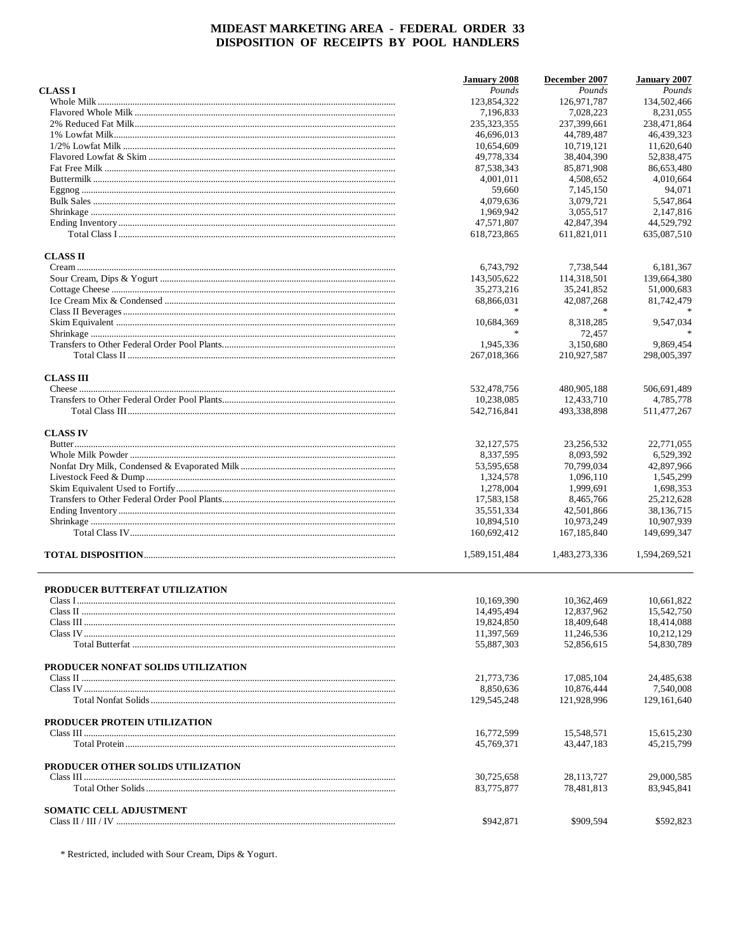|                                    | <b>January 2008</b>      | December 2007              | <b>January 2007</b>      |
|------------------------------------|--------------------------|----------------------------|--------------------------|
| <b>CLASS I</b>                     | Pounds                   | Pounds                     | Pounds                   |
|                                    | 123,854,322              | 126,971,787                | 134,502,466              |
|                                    | 7,196,833                | 7,028,223                  | 8,231,055                |
|                                    | 235,323,355              | 237,399,661                | 238,471,864              |
|                                    | 46,696,013               | 44,789,487                 | 46.439.323               |
|                                    | 10,654,609               | 10.719.121                 | 11.620.640               |
|                                    | 49,778,334               | 38,404,390                 | 52,838,475               |
|                                    | 87,538,343               | 85,871,908                 | 86,653,480               |
|                                    | 4,001,011                | 4,508,652                  | 4,010,664                |
|                                    | 59,660                   | 7,145,150                  | 94,071                   |
|                                    | 4,079,636                | 3,079,721                  | 5,547,864                |
|                                    | 1,969,942                | 3,055,517                  | 2,147,816                |
|                                    | 47,571,807               | 42,847,394                 | 44,529,792               |
|                                    | 618,723,865              | 611,821,011                | 635,087,510              |
| <b>CLASS II</b>                    |                          |                            |                          |
|                                    | 6,743,792                | 7,738,544                  | 6,181,367                |
|                                    | 143,505,622              | 114,318,501                | 139,664,380              |
|                                    | 35,273,216               | 35,241,852                 | 51,000,683               |
|                                    | 68,866,031               | 42,087,268                 | 81,742,479               |
|                                    |                          |                            |                          |
|                                    | 10,684,369               | 8,318,285                  | 9,547,034                |
|                                    | $\frac{1}{2}$            | 72,457                     |                          |
|                                    | 1,945,336                | 3,150,680                  | 9,869,454                |
|                                    | 267,018,366              | 210,927,587                | 298,005,397              |
| <b>CLASS III</b>                   |                          |                            |                          |
|                                    | 532,478,756              | 480,905,188                | 506,691,489              |
|                                    | 10,238,085               | 12,433,710                 | 4,785,778                |
|                                    | 542,716,841              | 493,338,898                | 511,477,267              |
| <b>CLASS IV</b>                    |                          |                            |                          |
|                                    | 32, 127, 575             | 23,256,532                 | 22,771,055               |
|                                    | 8,337,595                | 8,093,592                  | 6,529,392                |
|                                    | 53,595,658               | 70,799,034                 | 42,897,966               |
|                                    | 1,324,578                | 1,096,110                  | 1,545,299                |
|                                    | 1,278,004                | 1,999,691                  | 1,698,353                |
|                                    | 17,583,158               | 8,465,766                  | 25,212,628               |
|                                    | 35,551,334               | 42,501,866                 | 38,136,715               |
|                                    | 10,894,510               | 10,973,249                 | 10,907,939               |
|                                    | 160,692,412              | 167, 185, 840              | 149,699,347              |
|                                    | 1,589,151,484            | 1,483,273,336              | 1,594,269,521            |
| PRODUCER BUTTERFAT UTILIZATION     |                          |                            |                          |
|                                    | 10,169,390               | 10,362,469                 | 10,661,822               |
|                                    | 14,495,494               | 12,837,962                 | 15,542,750               |
|                                    | 19,824,850               | 18,409,648                 | 18,414,088               |
|                                    | 11,397,569               | 11,246,536                 | 10,212,129               |
|                                    | 55,887,303               | 52,856,615                 | 54,830,789               |
| PRODUCER NONFAT SOLIDS UTILIZATION |                          |                            |                          |
|                                    | 21,773,736               | 17,085,104                 | 24,485,638               |
|                                    | 8,850,636                | 10,876,444                 | 7,540,008                |
|                                    | 129,545,248              | 121,928,996                | 129, 161, 640            |
| PRODUCER PROTEIN UTILIZATION       |                          |                            |                          |
|                                    | 16,772,599               | 15,548,571                 | 15,615,230               |
|                                    | 45,769,371               | 43,447,183                 | 45,215,799               |
| PRODUCER OTHER SOLIDS UTILIZATION  |                          |                            |                          |
|                                    | 30,725,658<br>83,775,877 | 28, 113, 727<br>78,481,813 | 29,000,585<br>83,945,841 |
|                                    |                          |                            |                          |
| SOMATIC CELL ADJUSTMENT            | \$942,871                | \$909,594                  | \$592,823                |
|                                    |                          |                            |                          |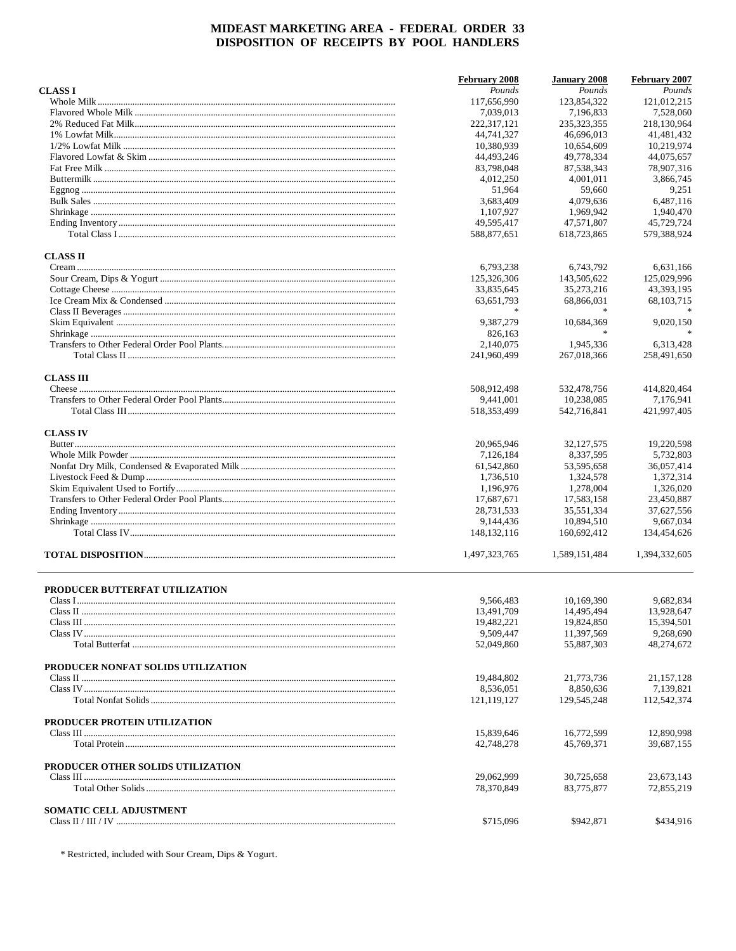|                                    | <b>February 2008</b> | <b>January 2008</b> | February 2007 |
|------------------------------------|----------------------|---------------------|---------------|
| <b>CLASS I</b>                     | Pounds               | Pounds              | Pounds        |
|                                    | 117,656,990          | 123,854,322         | 121,012,215   |
|                                    | 7,039,013            | 7,196,833           | 7,528,060     |
|                                    | 222,317,121          | 235,323,355         | 218,130,964   |
|                                    | 44,741,327           | 46,696,013          | 41,481,432    |
|                                    | 10,380,939           | 10,654,609          | 10,219,974    |
|                                    | 44,493,246           | 49,778,334          | 44,075,657    |
|                                    | 83,798,048           | 87,538,343          | 78,907,316    |
|                                    | 4,012,250            | 4,001,011           | 3,866,745     |
|                                    | 51,964               | 59,660              | 9,251         |
|                                    | 3,683,409            | 4.079.636           | 6.487.116     |
|                                    | 1,107,927            | 1,969,942           | 1,940,470     |
|                                    | 49,595,417           | 47,571,807          | 45,729,724    |
|                                    | 588,877,651          | 618,723,865         | 579,388,924   |
| <b>CLASS II</b>                    |                      |                     |               |
|                                    | 6,793,238            | 6,743,792           | 6,631,166     |
|                                    | 125,326,306          | 143,505,622         | 125,029,996   |
|                                    | 33,835,645           | 35,273,216          | 43,393,195    |
|                                    | 63,651,793           | 68,866,031          | 68, 103, 715  |
|                                    |                      |                     |               |
|                                    | 9,387,279            | 10,684,369          | 9,020,150     |
|                                    | 826,163              |                     |               |
|                                    | 2,140,075            | 1,945,336           | 6,313,428     |
|                                    | 241,960,499          |                     |               |
|                                    |                      | 267,018,366         | 258,491,650   |
| <b>CLASS III</b>                   |                      |                     |               |
|                                    | 508,912,498          | 532,478,756         | 414,820,464   |
|                                    | 9,441,001            | 10,238,085          | 7,176,941     |
|                                    | 518, 353, 499        | 542,716,841         | 421,997,405   |
| <b>CLASS IV</b>                    |                      |                     |               |
|                                    | 20,965,946           | 32, 127, 575        | 19,220,598    |
|                                    | 7,126,184            | 8,337,595           | 5,732,803     |
|                                    | 61,542,860           | 53,595,658          | 36,057,414    |
|                                    | 1,736,510            | 1,324,578           | 1,372,314     |
|                                    | 1,196,976            | 1,278,004           | 1,326,020     |
|                                    | 17,687,671           | 17,583,158          | 23,450,887    |
|                                    | 28,731,533           | 35,551,334          | 37,627,556    |
|                                    | 9,144,436            | 10,894,510          | 9,667,034     |
|                                    | 148, 132, 116        | 160,692,412         | 134,454,626   |
|                                    | 1,497,323,765        | 1,589,151,484       | 1,394,332,605 |
| PRODUCER BUTTERFAT UTILIZATION     |                      |                     |               |
|                                    | 9,566,483            | 10,169,390          | 9,682,834     |
|                                    | 13,491,709           | 14,495,494          | 13,928,647    |
|                                    | 19,482,221           | 19,824,850          | 15,394,501    |
|                                    | 9.509.447            | 11,397,569          | 9,268,690     |
|                                    | 52,049,860           | 55,887,303          | 48,274,672    |
| PRODUCER NONFAT SOLIDS UTILIZATION |                      |                     |               |
|                                    | 19,484,802           | 21,773,736          | 21, 157, 128  |
|                                    | 8,536,051            | 8,850,636           | 7,139,821     |
|                                    | 121,119,127          | 129,545,248         | 112,542,374   |
| PRODUCER PROTEIN UTILIZATION       |                      |                     |               |
|                                    | 15,839,646           | 16,772,599          | 12,890,998    |
|                                    | 42,748,278           | 45,769,371          | 39,687,155    |
| PRODUCER OTHER SOLIDS UTILIZATION  |                      |                     |               |
|                                    | 29,062,999           | 30,725,658          | 23,673,143    |
|                                    | 78,370,849           | 83,775,877          | 72,855,219    |
| SOMATIC CELL ADJUSTMENT            | \$715,096            | \$942,871           | \$434,916     |
|                                    |                      |                     |               |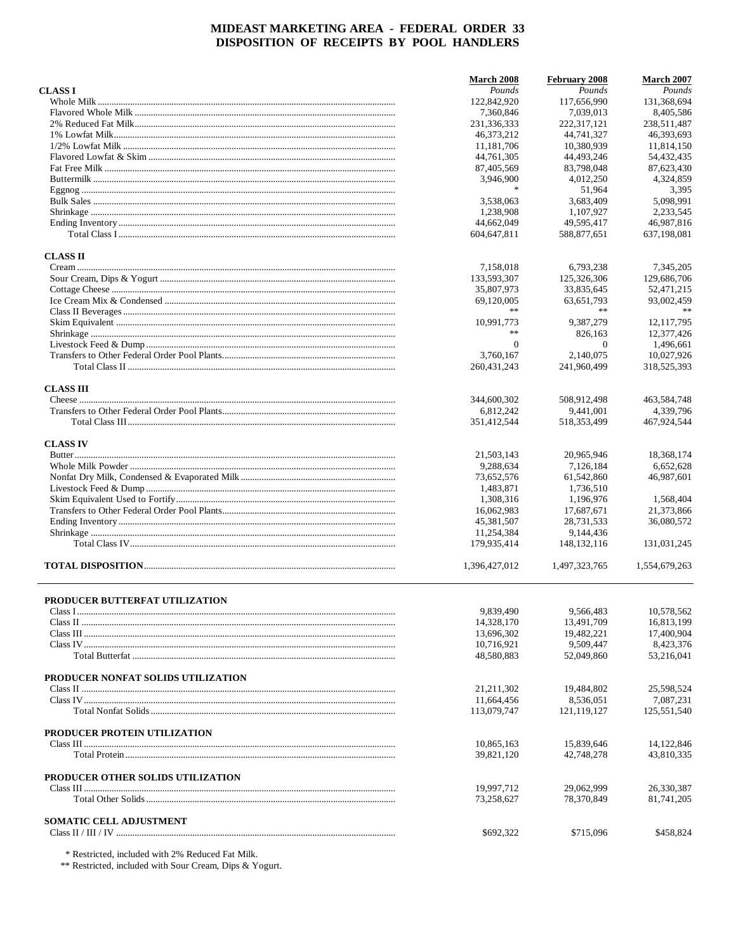|                                    | <b>March 2008</b>        | February 2008           | March 2007              |
|------------------------------------|--------------------------|-------------------------|-------------------------|
| <b>CLASSI</b>                      | Pounds                   | Pounds                  | Pounds                  |
|                                    | 122,842,920              | 117,656,990             | 131,368,694             |
|                                    | 7,360,846                | 7,039,013               | 8,405,586               |
|                                    | 231,336,333              | 222,317,121             | 238,511,487             |
|                                    | 46.373.212               | 44,741,327              | 46,393,693              |
|                                    | 11,181,706               | 10.380.939              | 11,814,150              |
|                                    | 44,761,305               | 44,493,246              | 54,432,435              |
|                                    | 87,405,569               | 83,798,048              | 87,623,430              |
|                                    | 3,946,900                | 4,012,250               | 4,324,859               |
|                                    | $\ast$                   | 51,964                  | 3,395                   |
|                                    | 3.538.063                | 3,683,409               | 5,098,991               |
|                                    | 1,238,908                | 1,107,927               | 2.233.545               |
|                                    | 44,662,049               | 49,595,417              | 46,987,816              |
|                                    | 604, 647, 811            | 588,877,651             | 637,198,081             |
| <b>CLASS II</b>                    |                          |                         |                         |
|                                    | 7,158,018                | 6,793,238               | 7,345,205               |
|                                    | 133,593,307              | 125,326,306             | 129,686,706             |
|                                    | 35,807,973               | 33,835,645              | 52,471,215              |
|                                    | 69,120,005               | 63,651,793              | 93,002,459              |
|                                    | **                       | **                      |                         |
|                                    | 10,991,773               | 9,387,279               | 12, 117, 795            |
|                                    | **                       | 826,163                 | 12,377,426              |
|                                    | $\mathbf{0}$             | $\theta$                | 1,496,661               |
|                                    | 3.760.167                | 2.140.075               | 10,027,926              |
|                                    | 260, 431, 243            | 241,960,499             | 318,525,393             |
|                                    |                          |                         |                         |
| <b>CLASS III</b>                   |                          |                         |                         |
|                                    | 344,600,302              | 508,912,498             | 463.584.748             |
|                                    | 6,812,242                | 9,441,001               | 4,339,796               |
|                                    | 351,412,544              | 518, 353, 499           | 467,924,544             |
| <b>CLASS IV</b>                    |                          |                         |                         |
|                                    | 21,503,143               | 20,965,946              | 18,368,174              |
|                                    | 9,288,634                | 7,126,184               | 6,652,628               |
|                                    | 73,652,576               | 61,542,860              | 46,987,601              |
|                                    | 1,483,871                | 1,736,510               |                         |
|                                    | 1,308,316                | 1,196,976               | 1,568,404               |
|                                    | 16,062,983               | 17,687,671              | 21,373,866              |
|                                    | 45,381,507               | 28,731,533              | 36,080,572              |
|                                    | 11,254,384               | 9,144,436               |                         |
|                                    | 179,935,414              | 148, 132, 116           | 131,031,245             |
|                                    | 1,396,427,012            | 1,497,323,765           | 1,554,679,263           |
|                                    |                          |                         |                         |
| PRODUCER BUTTERFAT UTILIZATION     |                          |                         |                         |
|                                    | 9,839,490                | 9,566,483               | 10,578,562              |
|                                    | 14,328,170               | 13,491,709              | 16,813,199              |
|                                    | 13,696,302               | 19,482,221              | 17,400,904              |
|                                    | 10,716,921<br>48,580,883 | 9,509,447<br>52,049,860 | 8,423,376<br>53,216,041 |
|                                    |                          |                         |                         |
| PRODUCER NONFAT SOLIDS UTILIZATION |                          |                         |                         |
|                                    | 21, 211, 302             | 19,484,802              | 25,598,524              |
|                                    | 11,664,456               | 8,536,051               | 7,087,231               |
|                                    | 113,079,747              | 121, 119, 127           | 125,551,540             |
| PRODUCER PROTEIN UTILIZATION       |                          |                         |                         |
|                                    | 10,865,163               | 15,839,646              | 14,122,846              |
|                                    | 39,821,120               | 42,748,278              | 43,810,335              |
| PRODUCER OTHER SOLIDS UTILIZATION  |                          |                         |                         |
|                                    | 19,997,712               | 29,062,999              | 26,330,387              |
|                                    | 73,258,627               | 78,370,849              | 81,741,205              |
|                                    |                          |                         |                         |
| <b>SOMATIC CELL ADJUSTMENT</b>     |                          |                         |                         |
|                                    | \$692,322                | \$715,096               | \$458,824               |
|                                    |                          |                         |                         |

\* Restricted, included with 2% Reduced Fat Milk.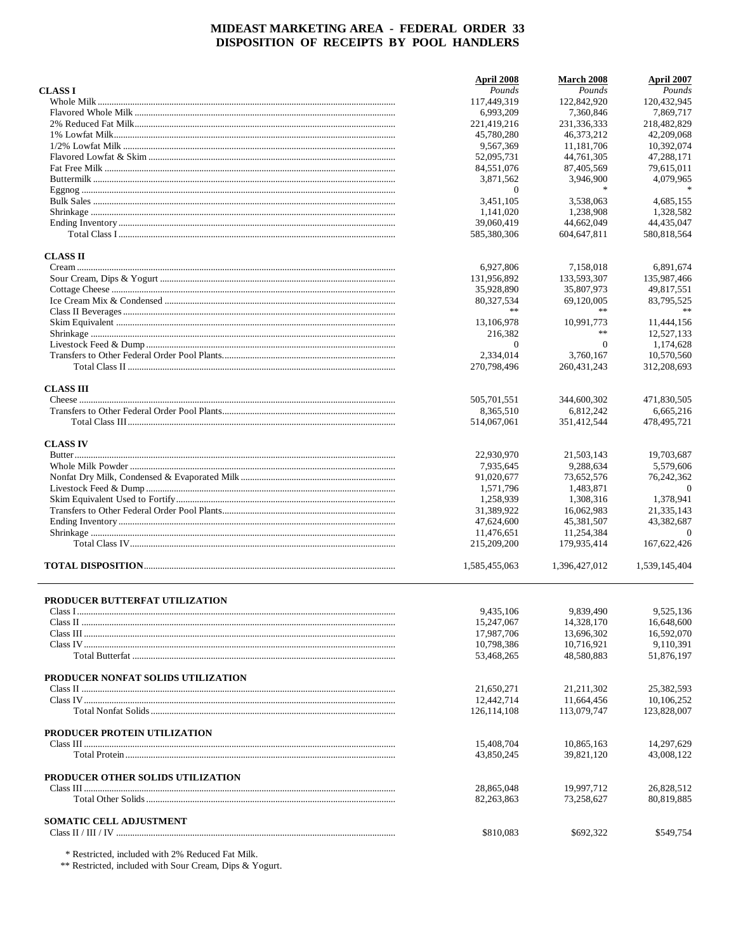|                                    | April 2008    | March 2008    | April 2007     |
|------------------------------------|---------------|---------------|----------------|
| <b>CLASSI</b>                      | Pounds        | Pounds        | Pounds         |
|                                    | 117,449,319   | 122,842,920   | 120,432,945    |
|                                    | 6,993,209     | 7,360,846     | 7,869,717      |
|                                    | 221,419,216   | 231,336,333   | 218,482,829    |
|                                    | 45,780,280    | 46,373,212    | 42,209,068     |
|                                    | 9,567,369     | 11.181.706    | 10.392.074     |
|                                    | 52,095,731    | 44,761,305    | 47,288,171     |
|                                    | 84,551,076    | 87,405,569    | 79,615,011     |
|                                    | 3,871,562     | 3,946,900     | 4,079,965      |
|                                    | $\Omega$      | $\mathbf{x}$  |                |
|                                    | 3,451,105     | 3,538,063     | 4.685.155      |
|                                    | 1,141,020     | 1,238,908     | 1,328,582      |
|                                    | 39,060,419    | 44,662,049    | 44,435,047     |
|                                    | 585,380,306   | 604, 647, 811 | 580.818.564    |
| <b>CLASS II</b>                    |               |               |                |
|                                    | 6,927,806     | 7,158,018     | 6,891,674      |
|                                    | 131,956,892   | 133,593,307   | 135,987,466    |
|                                    | 35,928,890    | 35,807,973    | 49,817,551     |
|                                    | 80,327,534    | 69,120,005    | 83,795,525     |
|                                    | **            | **            | **             |
|                                    | 13,106,978    | 10,991,773    | 11,444,156     |
|                                    | 216,382       | **            | 12,527,133     |
|                                    | $\mathbf{0}$  | $\mathbf{0}$  | 1,174,628      |
|                                    | 2,334,014     | 3.760.167     | 10,570,560     |
|                                    |               | 260, 431, 243 |                |
|                                    | 270,798,496   |               | 312,208,693    |
| <b>CLASS III</b>                   |               |               |                |
|                                    | 505,701,551   | 344,600,302   | 471,830,505    |
|                                    | 8,365,510     | 6,812,242     | 6,665,216      |
|                                    | 514,067,061   | 351,412,544   | 478,495,721    |
| <b>CLASS IV</b>                    |               |               |                |
|                                    | 22,930,970    | 21,503,143    | 19,703,687     |
|                                    | 7,935,645     | 9,288,634     | 5,579,606      |
|                                    | 91,020,677    | 73,652,576    | 76,242,362     |
|                                    | 1,571,796     | 1,483,871     | $\overline{0}$ |
|                                    | 1,258,939     | 1,308,316     | 1,378,941      |
|                                    | 31,389,922    | 16,062,983    | 21,335,143     |
|                                    | 47,624,600    | 45,381,507    | 43,382,687     |
|                                    | 11,476,651    | 11,254,384    | $\Omega$       |
|                                    | 215,209,200   | 179,935,414   | 167,622,426    |
|                                    | 1.585.455.063 | 1.396.427.012 | 1,539,145,404  |
|                                    |               |               |                |
| PRODUCER BUTTERFAT UTILIZATION     |               |               |                |
|                                    | 9,435,106     | 9,839,490     | 9,525,136      |
|                                    | 15,247,067    | 14,328,170    | 16,648,600     |
|                                    | 17,987,706    | 13,696,302    | 16.592.070     |
|                                    | 10,798,386    | 10,716,921    | 9,110,391      |
|                                    | 53,468,265    | 48,580,883    | 51,876,197     |
| PRODUCER NONFAT SOLIDS UTILIZATION |               |               |                |
|                                    | 21,650,271    | 21, 211, 302  | 25,382,593     |
|                                    | 12,442,714    | 11,664,456    | 10,106,252     |
|                                    | 126, 114, 108 | 113,079,747   | 123,828,007    |
| PRODUCER PROTEIN UTILIZATION       |               |               |                |
|                                    | 15,408,704    | 10,865,163    | 14,297,629     |
|                                    | 43,850,245    | 39,821,120    | 43,008,122     |
| PRODUCER OTHER SOLIDS UTILIZATION  |               |               |                |
|                                    | 28,865,048    | 19,997,712    | 26,828,512     |
|                                    | 82, 263, 863  | 73,258,627    | 80,819,885     |
|                                    |               |               |                |
| <b>SOMATIC CELL ADJUSTMENT</b>     | \$810,083     | \$692,322     | \$549,754      |
|                                    |               |               |                |

\* Restricted, included with 2% Reduced Fat Milk.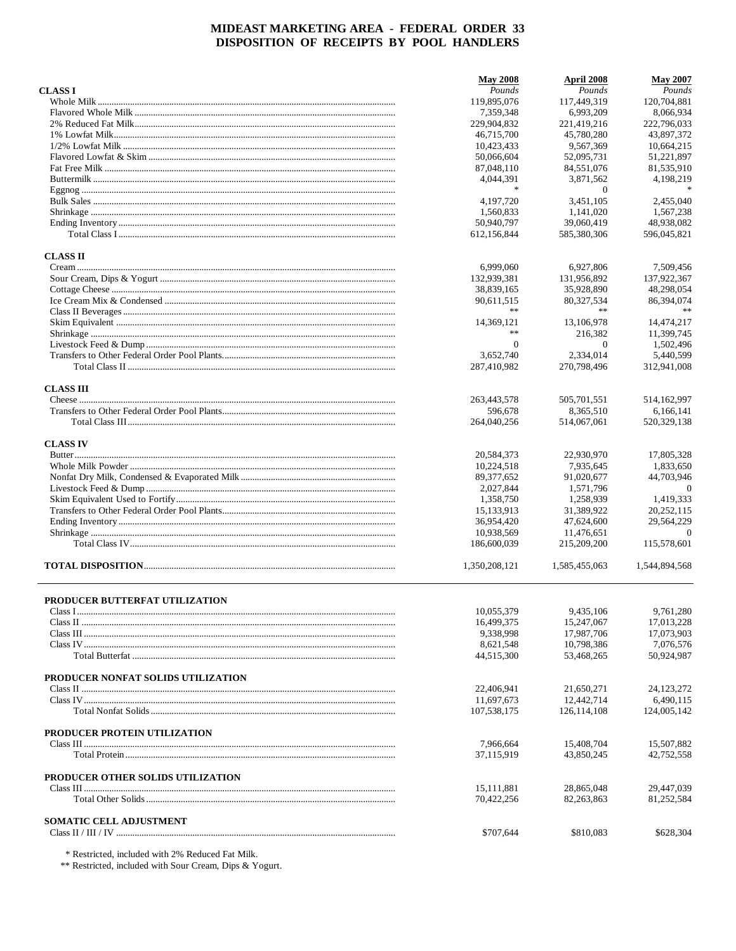|                                    | <b>May 2008</b>         | April 2008               | <b>May 2007</b>          |
|------------------------------------|-------------------------|--------------------------|--------------------------|
| <b>CLASSI</b>                      | Pounds                  | Pounds                   | Pounds                   |
|                                    | 119,895,076             | 117,449,319              | 120,704,881              |
|                                    | 7,359,348               | 6,993,209                | 8,066,934                |
|                                    | 229,904,832             | 221,419,216              | 222,796,033              |
|                                    | 46,715,700              | 45,780,280               | 43,897,372               |
|                                    | 10,423,433              | 9,567,369                | 10,664,215               |
|                                    | 50,066,604              | 52,095,731               | 51,221,897               |
|                                    | 87,048,110              | 84,551,076               | 81,535,910               |
|                                    | 4,044,391               | 3,871,562                | 4,198,219                |
|                                    | *                       | $\Omega$                 |                          |
|                                    | 4,197,720               | 3,451,105                | 2,455,040                |
|                                    | 1.560.833               | 1,141,020                | 1,567,238                |
|                                    | 50.940.797              | 39,060,419               | 48,938,082               |
|                                    | 612,156,844             | 585,380,306              | 596,045,821              |
| <b>CLASS II</b>                    |                         |                          |                          |
|                                    | 6,999,060               | 6,927,806                | 7,509,456                |
|                                    | 132,939,381             | 131,956,892              | 137,922,367              |
|                                    | 38,839,165              | 35,928,890               | 48,298,054               |
|                                    | 90,611,515              | 80,327,534               | 86,394,074               |
|                                    | **                      | **                       |                          |
|                                    | 14,369,121              | 13.106.978               | 14,474,217               |
|                                    | $\ast$ $\ast$           | 216,382                  | 11,399,745               |
|                                    | $\mathbf{0}$            | $\theta$                 | 1,502,496                |
|                                    | 3.652.740               | 2,334,014                | 5,440,599                |
|                                    | 287,410,982             | 270,798,496              | 312,941,008              |
|                                    |                         |                          |                          |
| <b>CLASS III</b>                   | 263.443.578             | 505,701,551              | 514,162,997              |
|                                    |                         |                          |                          |
|                                    | 596,678<br>264,040,256  | 8,365,510<br>514,067,061 | 6,166,141<br>520,329,138 |
|                                    |                         |                          |                          |
| <b>CLASS IV</b>                    |                         |                          |                          |
|                                    | 20,584,373              | 22,930,970               | 17,805,328               |
|                                    | 10,224,518              | 7,935,645                | 1,833,650                |
|                                    | 89, 377, 652            | 91,020,677               | 44,703,946               |
|                                    | 2,027,844               | 1,571,796                | $\overline{0}$           |
|                                    | 1,358,750               | 1,258,939                | 1,419,333                |
|                                    | 15,133,913              | 31,389,922               | 20,252,115               |
|                                    | 36,954,420              | 47,624,600               | 29,564,229               |
|                                    | 10,938,569              | 11,476,651               | $\Omega$                 |
|                                    | 186,600,039             | 215,209,200              | 115,578,601              |
|                                    | 1,350,208,121           | 1,585,455,063            | 1,544,894,568            |
|                                    |                         |                          |                          |
| PRODUCER BUTTERFAT UTILIZATION     |                         | 9,435,106                |                          |
|                                    | 10,055,379              |                          | 9,761,280                |
|                                    | 16,499,375<br>9,338,998 | 15,247,067<br>17,987,706 | 17,013,228<br>17,073,903 |
|                                    |                         | 10,798,386               | 7,076,576                |
|                                    | 8,621,548<br>44,515,300 | 53,468,265               | 50,924,987               |
|                                    |                         |                          |                          |
| PRODUCER NONFAT SOLIDS UTILIZATION |                         |                          |                          |
|                                    | 22,406,941              | 21,650,271               | 24, 123, 272             |
|                                    | 11,697,673              | 12,442,714               | 6,490,115                |
|                                    | 107,538,175             | 126, 114, 108            | 124,005,142              |
| PRODUCER PROTEIN UTILIZATION       |                         |                          |                          |
|                                    | 7,966,664               | 15,408,704               | 15,507,882               |
|                                    | 37,115,919              | 43.850.245               | 42,752,558               |
| PRODUCER OTHER SOLIDS UTILIZATION  |                         |                          |                          |
|                                    | 15,111,881              | 28,865,048               | 29,447,039               |
|                                    | 70,422,256              | 82, 263, 863             | 81,252,584               |
|                                    |                         |                          |                          |
| <b>SOMATIC CELL ADJUSTMENT</b>     | \$707,644               | \$810,083                | \$628,304                |
|                                    |                         |                          |                          |

\* Restricted, included with 2% Reduced Fat Milk.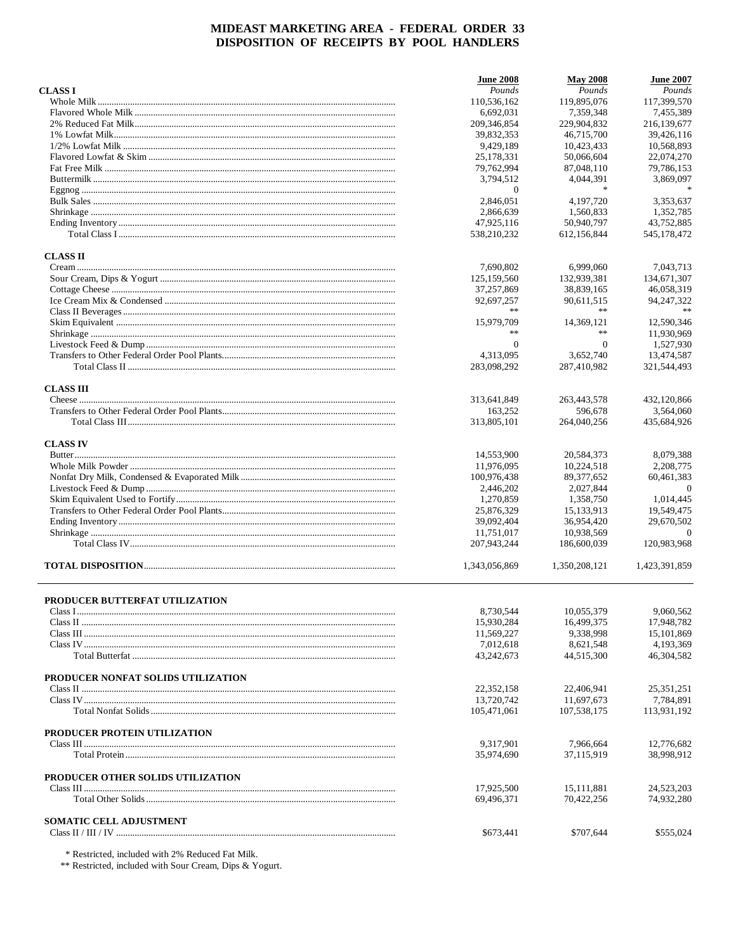|                                    | <b>June 2008</b>        | <b>May 2008</b>         | <b>June 2007</b>        |
|------------------------------------|-------------------------|-------------------------|-------------------------|
| <b>CLASSI</b>                      | Pounds                  | Pounds                  | Pounds                  |
|                                    | 110,536,162             | 119,895,076             | 117,399,570             |
|                                    | 6,692,031               | 7,359,348               | 7,455,389               |
|                                    | 209, 346, 854           | 229,904,832             | 216,139,677             |
|                                    | 39.832.353              | 46.715.700              | 39,426,116              |
|                                    | 9,429,189               | 10,423,433              | 10.568.893              |
|                                    | 25,178,331              | 50,066,604              | 22,074,270              |
|                                    | 79,762,994              | 87,048,110              | 79,786,153              |
|                                    | 3,794,512               | 4,044,391               | 3,869,097               |
|                                    | $\overline{0}$          | $\ast$                  |                         |
|                                    | 2,846,051               | 4,197,720               | 3,353,637               |
|                                    | 2,866,639               | 1,560,833               | 1,352,785               |
|                                    | 47,925,116              | 50,940,797              | 43,752,885              |
|                                    | 538,210,232             | 612,156,844             | 545,178,472             |
| <b>CLASS II</b>                    |                         |                         |                         |
|                                    | 7,690,802               | 6,999,060               | 7,043,713               |
|                                    | 125,159,560             | 132,939,381             | 134,671,307             |
|                                    | 37,257,869              | 38,839,165              | 46,058,319              |
|                                    | 92,697,257              | 90,611,515              | 94, 247, 322            |
|                                    | **                      | $\ast\ast$              | **                      |
|                                    | 15,979,709              | 14,369,121              | 12,590,346              |
|                                    | **                      | $\ast$                  | 11,930,969              |
|                                    | $\Omega$                | $\mathbf{0}$            | 1,527,930               |
|                                    | 4,313,095               | 3.652.740               | 13,474,587              |
|                                    | 283,098,292             | 287,410,982             | 321,544,493             |
|                                    |                         |                         |                         |
| <b>CLASS III</b>                   |                         |                         |                         |
|                                    | 313,641,849             | 263,443,578             | 432,120,866             |
|                                    | 163,252                 | 596,678                 | 3,564,060               |
|                                    | 313,805,101             | 264,040,256             | 435,684,926             |
| <b>CLASS IV</b>                    |                         |                         |                         |
|                                    | 14,553,900              | 20,584,373              | 8,079,388               |
|                                    | 11,976,095              | 10,224,518              | 2,208,775               |
|                                    | 100,976,438             | 89,377,652              | 60,461,383              |
|                                    | 2,446,202               | 2,027,844               | $\overline{0}$          |
|                                    | 1,270,859               | 1,358,750               | 1,014,445               |
|                                    | 25,876,329              | 15,133,913              | 19,549,475              |
|                                    | 39,092,404              | 36,954,420              | 29,670,502              |
|                                    | 11,751,017              | 10,938,569              | $\Omega$                |
|                                    | 207,943,244             | 186,600,039             | 120,983,968             |
|                                    | 1,343,056,869           | 1,350,208,121           | 1,423,391,859           |
|                                    |                         |                         |                         |
| PRODUCER BUTTERFAT UTILIZATION     |                         |                         |                         |
|                                    | 8,730,544               | 10,055,379              | 9,060,562               |
|                                    | 15,930,284              | 16,499,375              | 17,948,782              |
|                                    | 11,569,227              | 9,338,998               | 15,101,869              |
|                                    | 7,012,618<br>43,242,673 | 8,621,548<br>44,515,300 | 4,193,369<br>46,304,582 |
|                                    |                         |                         |                         |
| PRODUCER NONFAT SOLIDS UTILIZATION |                         |                         |                         |
|                                    | 22,352,158              | 22,406,941              | 25, 351, 251            |
|                                    | 13,720,742              | 11,697,673              | 7.784.891               |
|                                    | 105,471,061             | 107,538,175             | 113,931,192             |
| PRODUCER PROTEIN UTILIZATION       |                         |                         |                         |
|                                    | 9,317,901               | 7,966,664               | 12,776,682              |
|                                    | 35,974,690              | 37.115.919              | 38,998,912              |
| PRODUCER OTHER SOLIDS UTILIZATION  |                         |                         |                         |
|                                    | 17,925,500              | 15, 111, 881            | 24,523,203              |
|                                    | 69,496,371              | 70,422,256              | 74,932,280              |
|                                    |                         |                         |                         |
| <b>SOMATIC CELL ADJUSTMENT</b>     | \$673,441               | \$707,644               | \$555,024               |
|                                    |                         |                         |                         |

\* Restricted, included with 2% Reduced Fat Milk.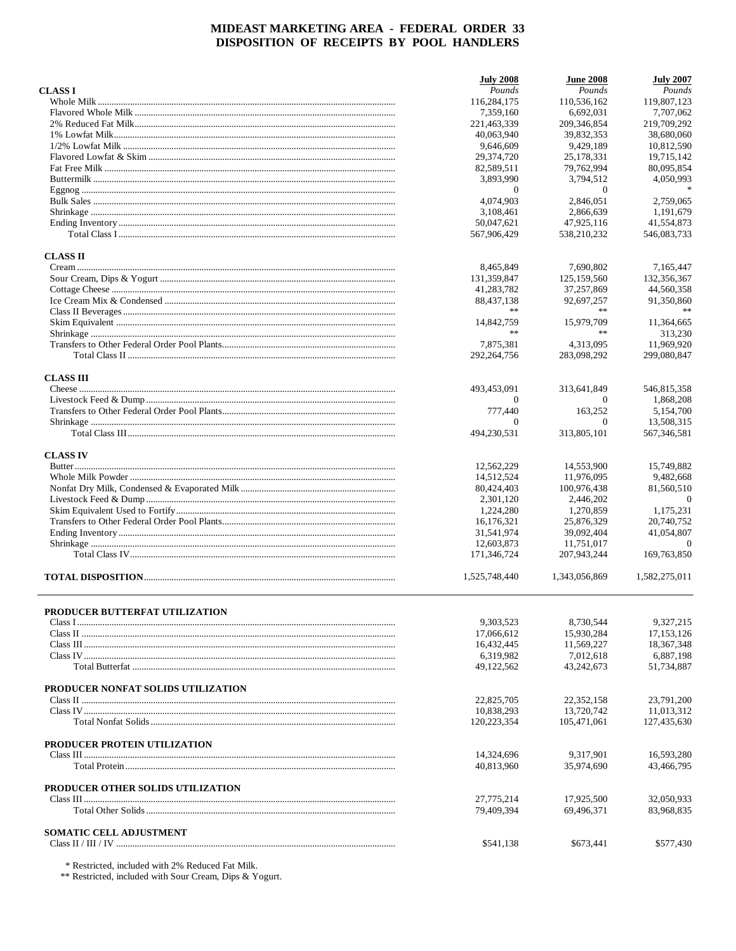|                                                                                                                                                                                                                                                                                                                                                                                                                                                                                                                                                                                                                          | <b>July 2008</b>         | <b>June 2008</b>         | <b>July 2007</b>       |
|--------------------------------------------------------------------------------------------------------------------------------------------------------------------------------------------------------------------------------------------------------------------------------------------------------------------------------------------------------------------------------------------------------------------------------------------------------------------------------------------------------------------------------------------------------------------------------------------------------------------------|--------------------------|--------------------------|------------------------|
| <b>CLASS I</b>                                                                                                                                                                                                                                                                                                                                                                                                                                                                                                                                                                                                           | Pounds                   | Pounds                   | Pounds                 |
|                                                                                                                                                                                                                                                                                                                                                                                                                                                                                                                                                                                                                          | 116,284,175              | 110,536,162              | 119,807,123            |
|                                                                                                                                                                                                                                                                                                                                                                                                                                                                                                                                                                                                                          | 7,359,160                | 6,692,031                | 7,707,062              |
|                                                                                                                                                                                                                                                                                                                                                                                                                                                                                                                                                                                                                          | 221,463,339              | 209, 346, 854            | 219,709,292            |
|                                                                                                                                                                                                                                                                                                                                                                                                                                                                                                                                                                                                                          | 40,063,940               | 39,832,353               | 38,680,060             |
|                                                                                                                                                                                                                                                                                                                                                                                                                                                                                                                                                                                                                          | 9.646.609                | 9,429,189                | 10,812,590             |
|                                                                                                                                                                                                                                                                                                                                                                                                                                                                                                                                                                                                                          | 29,374,720               | 25,178,331               | 19,715,142             |
|                                                                                                                                                                                                                                                                                                                                                                                                                                                                                                                                                                                                                          | 82,589,511               | 79,762,994               | 80,095,854             |
|                                                                                                                                                                                                                                                                                                                                                                                                                                                                                                                                                                                                                          | 3,893,990                | 3,794,512                | 4,050,993              |
|                                                                                                                                                                                                                                                                                                                                                                                                                                                                                                                                                                                                                          | $\mathbf{0}$             | $\overline{0}$           |                        |
|                                                                                                                                                                                                                                                                                                                                                                                                                                                                                                                                                                                                                          | 4,074,903                | 2.846.051                | 2,759,065              |
|                                                                                                                                                                                                                                                                                                                                                                                                                                                                                                                                                                                                                          | 3,108,461                | 2,866,639                | 1,191,679              |
|                                                                                                                                                                                                                                                                                                                                                                                                                                                                                                                                                                                                                          | 50,047,621               | 47,925,116               | 41,554,873             |
|                                                                                                                                                                                                                                                                                                                                                                                                                                                                                                                                                                                                                          | 567,906,429              | 538,210,232              | 546,083,733            |
| <b>CLASS II</b>                                                                                                                                                                                                                                                                                                                                                                                                                                                                                                                                                                                                          |                          |                          |                        |
|                                                                                                                                                                                                                                                                                                                                                                                                                                                                                                                                                                                                                          | 8,465,849                | 7,690,802                | 7,165,447              |
|                                                                                                                                                                                                                                                                                                                                                                                                                                                                                                                                                                                                                          | 131,359,847              | 125,159,560              | 132,356,367            |
|                                                                                                                                                                                                                                                                                                                                                                                                                                                                                                                                                                                                                          | 41,283,782               | 37,257,869               | 44,560,358             |
|                                                                                                                                                                                                                                                                                                                                                                                                                                                                                                                                                                                                                          | 88,437,138               | 92,697,257               | 91,350,860             |
|                                                                                                                                                                                                                                                                                                                                                                                                                                                                                                                                                                                                                          | **                       | $\gg \gg$                |                        |
|                                                                                                                                                                                                                                                                                                                                                                                                                                                                                                                                                                                                                          | 14,842,759               | 15,979,709               | 11,364,665             |
|                                                                                                                                                                                                                                                                                                                                                                                                                                                                                                                                                                                                                          | **                       | $\gg \gg$                | 313,230                |
|                                                                                                                                                                                                                                                                                                                                                                                                                                                                                                                                                                                                                          | 7,875,381                | 4,313,095                | 11,969,920             |
|                                                                                                                                                                                                                                                                                                                                                                                                                                                                                                                                                                                                                          | 292,264,756              | 283,098,292              | 299,080,847            |
| <b>CLASS III</b>                                                                                                                                                                                                                                                                                                                                                                                                                                                                                                                                                                                                         |                          |                          |                        |
|                                                                                                                                                                                                                                                                                                                                                                                                                                                                                                                                                                                                                          | 493,453,091              | 313,641,849              | 546,815,358            |
|                                                                                                                                                                                                                                                                                                                                                                                                                                                                                                                                                                                                                          | $\Omega$                 | $\Omega$                 | 1,868,208              |
|                                                                                                                                                                                                                                                                                                                                                                                                                                                                                                                                                                                                                          | 777,440                  | 163,252                  | 5,154,700              |
|                                                                                                                                                                                                                                                                                                                                                                                                                                                                                                                                                                                                                          | $\Omega$                 | $\overline{0}$           | 13,508,315             |
|                                                                                                                                                                                                                                                                                                                                                                                                                                                                                                                                                                                                                          | 494,230,531              | 313,805,101              | 567, 346, 581          |
|                                                                                                                                                                                                                                                                                                                                                                                                                                                                                                                                                                                                                          |                          |                          |                        |
| <b>CLASS IV</b>                                                                                                                                                                                                                                                                                                                                                                                                                                                                                                                                                                                                          |                          |                          |                        |
|                                                                                                                                                                                                                                                                                                                                                                                                                                                                                                                                                                                                                          | 12,562,229               | 14,553,900               | 15,749,882             |
|                                                                                                                                                                                                                                                                                                                                                                                                                                                                                                                                                                                                                          | 14,512,524               | 11,976,095               | 9,482,668              |
|                                                                                                                                                                                                                                                                                                                                                                                                                                                                                                                                                                                                                          | 80,424,403               | 100,976,438              | 81,560,510             |
|                                                                                                                                                                                                                                                                                                                                                                                                                                                                                                                                                                                                                          | 2,301,120                | 2,446,202                | $\theta$               |
|                                                                                                                                                                                                                                                                                                                                                                                                                                                                                                                                                                                                                          | 1,224,280                | 1,270,859                | 1,175,231              |
|                                                                                                                                                                                                                                                                                                                                                                                                                                                                                                                                                                                                                          | 16,176,321               | 25,876,329               | 20,740,752             |
|                                                                                                                                                                                                                                                                                                                                                                                                                                                                                                                                                                                                                          | 31,541,974<br>12,603,873 | 39,092,404<br>11,751,017 | 41,054,807<br>$\theta$ |
|                                                                                                                                                                                                                                                                                                                                                                                                                                                                                                                                                                                                                          | 171,346,724              | 207,943,244              | 169,763,850            |
|                                                                                                                                                                                                                                                                                                                                                                                                                                                                                                                                                                                                                          |                          |                          |                        |
|                                                                                                                                                                                                                                                                                                                                                                                                                                                                                                                                                                                                                          | 1,525,748,440            | 1,343,056,869            | 1,582,275,011          |
|                                                                                                                                                                                                                                                                                                                                                                                                                                                                                                                                                                                                                          |                          |                          |                        |
| PRODUCER BUTTERFAT UTILIZATION                                                                                                                                                                                                                                                                                                                                                                                                                                                                                                                                                                                           | 9,303,523                | 8,730,544                | 9,327,215              |
|                                                                                                                                                                                                                                                                                                                                                                                                                                                                                                                                                                                                                          | 17,066,612               | 15,930,284               | 17, 153, 126           |
| $\textbf{Class III} \textcolor{red}{.}\textcolor{blue}{.}\textcolor{blue}{.}\textcolor{blue}{.}\textcolor{blue}{.}\textcolor{blue}{.}\textcolor{blue}{.}\textcolor{blue}{.}\textcolor{blue}{.}\textcolor{blue}{.}\textcolor{blue}{.}\textcolor{blue}{.}\textcolor{blue}{.}\textcolor{blue}{.}\textcolor{blue}{.}\textcolor{blue}{.}\textcolor{blue}{.}\textcolor{blue}{.}\textcolor{blue}{.}\textcolor{blue}{.}\textcolor{blue}{.}\textcolor{blue}{.}\textcolor{blue}{.}\textcolor{blue}{.}\textcolor{blue}{.}\textcolor{blue}{.}\textcolor{blue}{.}\textcolor{blue}{.}\textcolor{blue}{.}\textcolor{blue}{.}\textcolor$ | 16,432,445               | 11,569,227               | 18, 367, 348           |
|                                                                                                                                                                                                                                                                                                                                                                                                                                                                                                                                                                                                                          | 6,319,982                | 7,012,618                | 6,887,198              |
|                                                                                                                                                                                                                                                                                                                                                                                                                                                                                                                                                                                                                          | 49,122,562               | 43, 242, 673             | 51,734,887             |
|                                                                                                                                                                                                                                                                                                                                                                                                                                                                                                                                                                                                                          |                          |                          |                        |
| PRODUCER NONFAT SOLIDS UTILIZATION                                                                                                                                                                                                                                                                                                                                                                                                                                                                                                                                                                                       |                          |                          |                        |
|                                                                                                                                                                                                                                                                                                                                                                                                                                                                                                                                                                                                                          | 22,825,705               | 22,352,158               | 23,791,200             |
|                                                                                                                                                                                                                                                                                                                                                                                                                                                                                                                                                                                                                          | 10,838,293               | 13,720,742               | 11,013,312             |
|                                                                                                                                                                                                                                                                                                                                                                                                                                                                                                                                                                                                                          | 120,223,354              | 105,471,061              | 127,435,630            |
| PRODUCER PROTEIN UTILIZATION                                                                                                                                                                                                                                                                                                                                                                                                                                                                                                                                                                                             |                          |                          |                        |
|                                                                                                                                                                                                                                                                                                                                                                                                                                                                                                                                                                                                                          | 14,324,696               | 9,317,901                | 16,593,280             |
|                                                                                                                                                                                                                                                                                                                                                                                                                                                                                                                                                                                                                          | 40,813,960               | 35,974,690               | 43,466,795             |
| PRODUCER OTHER SOLIDS UTILIZATION                                                                                                                                                                                                                                                                                                                                                                                                                                                                                                                                                                                        |                          |                          |                        |
|                                                                                                                                                                                                                                                                                                                                                                                                                                                                                                                                                                                                                          | 27,775,214               | 17,925,500               | 32,050,933             |
|                                                                                                                                                                                                                                                                                                                                                                                                                                                                                                                                                                                                                          | 79,409,394               | 69,496,371               | 83,968,835             |
|                                                                                                                                                                                                                                                                                                                                                                                                                                                                                                                                                                                                                          |                          |                          |                        |
| <b>SOMATIC CELL ADJUSTMENT</b>                                                                                                                                                                                                                                                                                                                                                                                                                                                                                                                                                                                           | \$541,138                | \$673,441                | \$577,430              |
|                                                                                                                                                                                                                                                                                                                                                                                                                                                                                                                                                                                                                          |                          |                          |                        |

 $\,^*$  Restricted, included with 2% Reduced Fat Milk.  $\,^*$  Restricted, included with Sour Cream, Dips & Yogurt.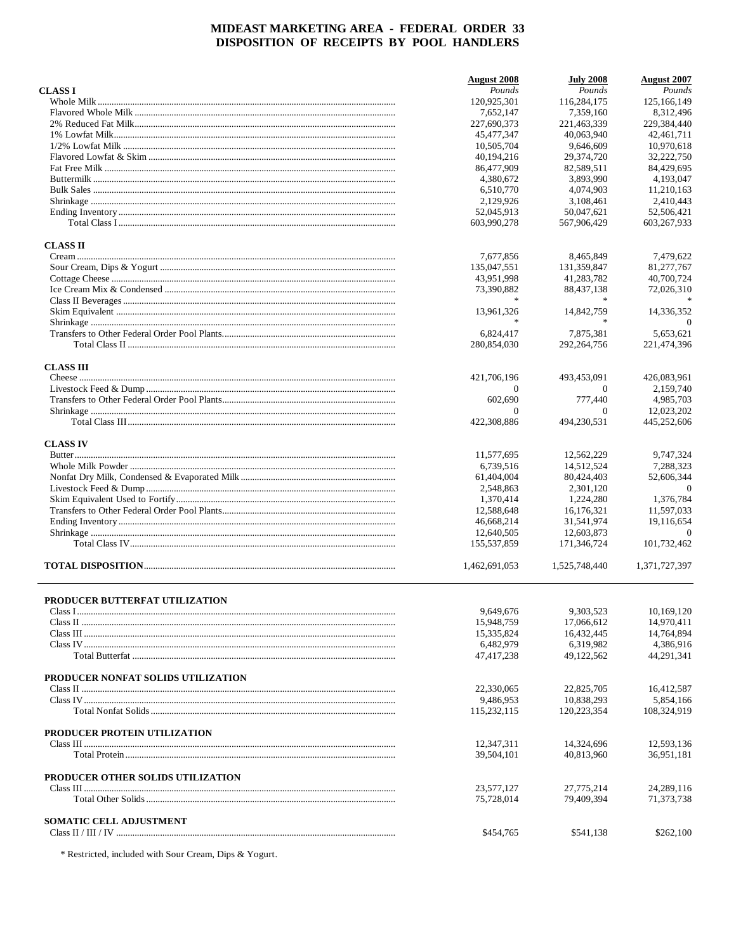|                                    | <b>August 2008</b> | <b>July 2008</b> | <b>August 2007</b>     |
|------------------------------------|--------------------|------------------|------------------------|
| <b>CLASSI</b>                      | Pounds             | Pounds           | Pounds                 |
|                                    | 120,925,301        | 116,284,175      | 125, 166, 149          |
|                                    | 7,652,147          | 7,359,160        | 8,312,496              |
|                                    | 227,690,373        | 221,463,339      | 229,384,440            |
|                                    | 45.477.347         | 40,063,940       | 42,461,711             |
|                                    | 10,505,704         | 9.646.609        | 10,970,618             |
|                                    | 40,194,216         | 29,374,720       | 32,222,750             |
|                                    | 86,477,909         | 82,589,511       | 84,429,695             |
|                                    | 4,380,672          | 3,893,990        | 4,193,047              |
|                                    | 6,510,770          | 4,074,903        | 11,210,163             |
|                                    | 2,129,926          | 3,108,461        | 2.410.443              |
|                                    | 52,045,913         | 50,047,621       | 52,506,421             |
|                                    | 603,990,278        | 567,906,429      | 603,267,933            |
| <b>CLASS II</b>                    |                    |                  |                        |
|                                    | 7,677,856          | 8,465,849        | 7,479,622              |
|                                    | 135,047,551        | 131,359,847      | 81,277,767             |
|                                    | 43,951,998         | 41,283,782       | 40,700,724             |
|                                    | 73,390,882         | 88,437,138       | 72,026,310             |
|                                    | $\star$            |                  |                        |
|                                    | 13,961,326         | 14,842,759       | 14,336,352<br>$\Omega$ |
|                                    | 6,824,417          | 7.875.381        | 5,653,621              |
|                                    | 280,854,030        | 292,264,756      | 221,474,396            |
| <b>CLASS III</b>                   |                    |                  |                        |
|                                    | 421,706,196        | 493,453,091      | 426,083,961            |
|                                    | $\mathbf{0}$       | $\theta$         | 2,159,740              |
|                                    | 602,690            | 777,440          | 4.985.703              |
|                                    | $\Omega$           | $\Omega$         | 12,023,202             |
|                                    | 422,308,886        | 494,230,531      | 445,252,606            |
| <b>CLASS IV</b>                    |                    |                  |                        |
|                                    | 11,577,695         | 12,562,229       | 9,747,324              |
|                                    | 6,739,516          | 14,512,524       | 7,288,323              |
|                                    | 61,404,004         | 80,424,403       | 52,606,344             |
|                                    | 2,548,863          | 2,301,120        | $\overline{0}$         |
|                                    | 1,370,414          | 1,224,280        | 1,376,784              |
|                                    | 12,588,648         | 16,176,321       | 11,597,033             |
|                                    | 46,668,214         | 31,541,974       | 19,116,654             |
|                                    | 12,640,505         | 12,603,873       | $\Omega$               |
|                                    | 155,537,859        | 171,346,724      | 101,732,462            |
|                                    | 1,462,691,053      | 1,525,748,440    | 1,371,727,397          |
|                                    |                    |                  |                        |
| PRODUCER BUTTERFAT UTILIZATION     |                    |                  |                        |
|                                    | 9,649,676          | 9,303,523        | 10,169,120             |
|                                    | 15,948,759         | 17,066,612       | 14,970,411             |
|                                    | 15,335,824         | 16,432,445       | 14,764,894             |
|                                    | 6,482,979          | 6,319,982        | 4,386,916              |
|                                    | 47,417,238         | 49,122,562       | 44,291,341             |
| PRODUCER NONFAT SOLIDS UTILIZATION |                    |                  |                        |
|                                    | 22,330,065         | 22,825,705       | 16,412,587             |
|                                    | 9,486,953          | 10,838,293       | 5,854,166              |
|                                    | 115,232,115        | 120,223,354      | 108,324,919            |
| PRODUCER PROTEIN UTILIZATION       |                    |                  |                        |
|                                    | 12,347,311         | 14,324,696       | 12,593,136             |
|                                    | 39,504,101         | 40,813,960       | 36,951,181             |
| PRODUCER OTHER SOLIDS UTILIZATION  |                    |                  |                        |
|                                    | 23,577,127         | 27,775,214       | 24, 289, 116           |
|                                    | 75,728,014         | 79,409,394       | 71,373,738             |
| <b>SOMATIC CELL ADJUSTMENT</b>     |                    |                  |                        |
|                                    | \$454,765          | \$541,138        | \$262,100              |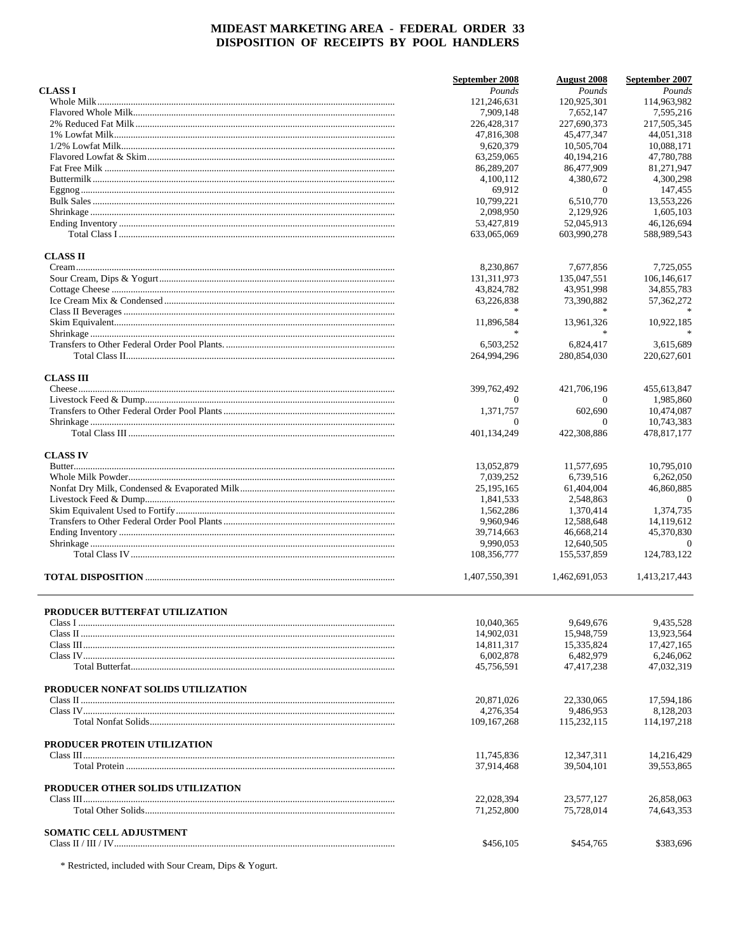|                                    | September 2008           | <b>August</b> 2008       | September 2007           |
|------------------------------------|--------------------------|--------------------------|--------------------------|
| <b>CLASS I</b>                     | Pounds                   | Pounds                   | Pounds                   |
|                                    | 121,246,631              | 120,925,301              | 114,963,982              |
|                                    | 7,909,148                | 7,652,147                | 7,595,216                |
|                                    | 226,428,317              | 227,690,373              | 217,505,345              |
|                                    | 47,816,308               | 45,477,347               | 44,051,318               |
|                                    | 9,620,379                | 10,505,704               | 10,088,171               |
|                                    | 63,259,065               | 40.194.216               | 47,780,788               |
|                                    | 86,289,207               | 86,477,909               | 81,271,947               |
|                                    | 4,100,112                | 4,380,672                | 4,300,298                |
|                                    | 69,912                   | $\theta$                 | 147,455                  |
|                                    | 10.799.221               | 6,510,770                | 13.553.226               |
|                                    | 2.098.950                | 2,129,926                | 1,605,103                |
|                                    | 53,427,819               | 52,045,913               | 46,126,694               |
|                                    | 633,065,069              | 603,990,278              | 588,989,543              |
| <b>CLASS II</b>                    |                          |                          |                          |
|                                    | 8,230,867                | 7,677,856                | 7,725,055                |
|                                    | 131,311,973              | 135,047,551              | 106,146,617              |
|                                    | 43,824,782               | 43,951,998               | 34,855,783               |
|                                    | 63,226,838               | 73,390,882               | 57, 362, 272             |
|                                    |                          |                          |                          |
|                                    | 11,896,584               | 13,961,326               | 10,922,185               |
|                                    |                          |                          |                          |
|                                    | 6,503,252                | 6.824.417                | 3,615,689                |
|                                    | 264,994,296              | 280,854,030              | 220,627,601              |
|                                    |                          |                          |                          |
| <b>CLASS III</b>                   |                          |                          |                          |
|                                    | 399,762,492              | 421,706,196              | 455,613,847              |
|                                    | 0                        | $\Omega$                 | 1,985,860                |
|                                    | 1,371,757                | 602,690                  | 10,474,087               |
|                                    | 0                        | $\theta$                 | 10,743,383               |
|                                    | 401,134,249              | 422,308,886              | 478,817,177              |
| <b>CLASS IV</b>                    |                          |                          |                          |
|                                    | 13,052,879               | 11,577,695               | 10,795,010               |
|                                    | 7,039,252                | 6,739,516                | 6,262,050                |
|                                    | 25, 195, 165             | 61,404,004               | 46,860,885               |
|                                    | 1,841,533                | 2,548,863                | $\theta$                 |
|                                    | 1,562,286                | 1,370,414                | 1,374,735                |
|                                    | 9,960,946                | 12,588,648               | 14,119,612               |
|                                    | 39,714,663               | 46,668,214               | 45,370,830               |
|                                    | 9.990.053                | 12,640,505               | $\Omega$                 |
|                                    | 108,356,777              | 155,537,859              | 124,783,122              |
|                                    |                          |                          |                          |
|                                    | 1,407,550,391            | 1,462,691,053            | 1,413,217,443            |
|                                    |                          |                          |                          |
| PRODUCER BUTTERFAT UTILIZATION     | 10,040,365               | 9,649,676                | 9.435,528                |
|                                    | 14,902,031               | 15,948,759               | 13,923,564               |
|                                    |                          |                          |                          |
|                                    | 14,811,317               | 15,335,824               | 17,427,165               |
|                                    | 6,002,878                | 6,482,979                | 6,246,062                |
|                                    | 45,756,591               | 47,417,238               | 47,032,319               |
| PRODUCER NONFAT SOLIDS UTILIZATION |                          |                          |                          |
|                                    | 20,871,026               | 22,330,065               | 17,594,186               |
|                                    | 4,276,354                | 9.486.953                | 8,128,203                |
|                                    | 109, 167, 268            | 115,232,115              | 114, 197, 218            |
| PRODUCER PROTEIN UTILIZATION       |                          |                          |                          |
|                                    | 11,745,836               | 12,347,311               | 14,216,429               |
|                                    | 37,914,468               | 39,504,101               | 39,553,865               |
|                                    |                          |                          |                          |
| PRODUCER OTHER SOLIDS UTILIZATION  |                          |                          |                          |
|                                    | 22,028,394<br>71,252,800 | 23,577,127<br>75,728,014 | 26,858,063<br>74,643,353 |
|                                    |                          |                          |                          |
| <b>SOMATIC CELL ADJUSTMENT</b>     |                          |                          |                          |
|                                    | \$456,105                | \$454,765                | \$383,696                |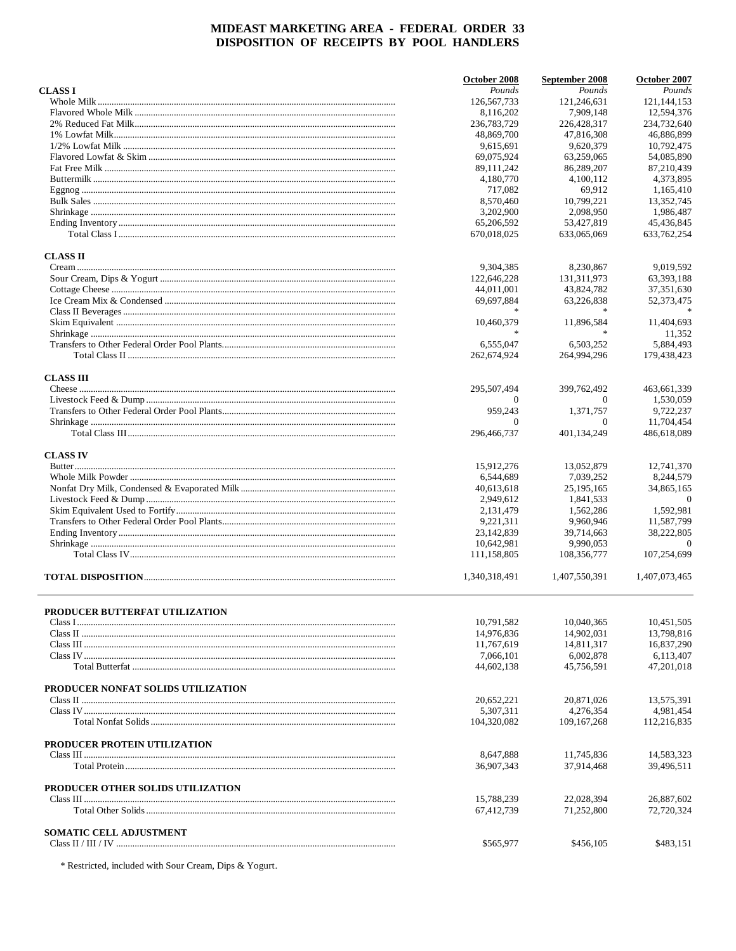|                                    | October 2008  | September 2008 | October 2007     |
|------------------------------------|---------------|----------------|------------------|
| <b>CLASS I</b>                     | Pounds        | Pounds         | Pounds           |
|                                    | 126, 567, 733 | 121,246,631    | 121, 144, 153    |
|                                    | 8,116,202     | 7,909,148      | 12,594,376       |
|                                    | 236,783,729   | 226,428,317    | 234,732,640      |
|                                    | 48,869,700    | 47,816,308     | 46,886,899       |
|                                    | 9,615,691     | 9.620.379      | 10,792,475       |
|                                    | 69.075.924    | 63,259,065     | 54,085,890       |
|                                    |               |                |                  |
|                                    | 89, 111, 242  | 86,289,207     | 87,210,439       |
|                                    | 4,180,770     | 4,100,112      | 4,373,895        |
|                                    | 717,082       | 69,912         | 1,165,410        |
|                                    | 8,570,460     | 10.799.221     | 13,352,745       |
|                                    | 3,202,900     | 2,098,950      | 1,986,487        |
|                                    | 65,206,592    | 53,427,819     | 45,436,845       |
|                                    | 670,018,025   | 633,065,069    | 633, 762, 254    |
| <b>CLASS II</b>                    |               |                |                  |
|                                    | 9,304,385     | 8,230,867      | 9,019,592        |
|                                    | 122,646,228   | 131,311,973    | 63,393,188       |
|                                    |               |                |                  |
|                                    | 44,011,001    | 43,824,782     | 37,351,630       |
|                                    | 69,697,884    | 63,226,838     | 52,373,475       |
|                                    |               |                |                  |
|                                    | 10,460,379    | 11,896,584     | 11,404,693       |
|                                    | $\ast$        |                | 11,352           |
|                                    | 6,555,047     | 6.503.252      | 5,884,493        |
|                                    | 262,674,924   | 264,994,296    | 179,438,423      |
| <b>CLASS III</b>                   |               |                |                  |
|                                    | 295,507,494   | 399,762,492    | 463,661,339      |
|                                    | $\Omega$      | $\Omega$       | 1,530,059        |
|                                    |               |                |                  |
|                                    | 959,243       | 1,371,757      | 9,722,237        |
|                                    | $\mathbf{0}$  | $\theta$       | 11,704,454       |
|                                    | 296,466,737   | 401,134,249    | 486,618,089      |
| <b>CLASS IV</b>                    |               |                |                  |
|                                    | 15,912,276    | 13,052,879     | 12,741,370       |
|                                    | 6,544,689     | 7,039,252      | 8,244,579        |
|                                    |               |                |                  |
|                                    | 40,613,618    | 25, 195, 165   | 34,865,165       |
|                                    | 2,949,612     | 1,841,533      | $\boldsymbol{0}$ |
|                                    | 2,131,479     | 1,562,286      | 1,592,981        |
|                                    | 9,221,311     | 9,960,946      | 11,587,799       |
|                                    | 23,142,839    | 39,714,663     | 38,222,805       |
|                                    | 10,642,981    | 9.990.053      | $\Omega$         |
|                                    | 111,158,805   | 108,356,777    | 107,254,699      |
|                                    | 1,340,318,491 | 1,407,550,391  | 1,407,073,465    |
|                                    |               |                |                  |
| PRODUCER BUTTERFAT UTILIZATION     |               |                |                  |
|                                    | 10,791,582    | 10,040,365     | 10,451,505       |
|                                    | 14,976,836    | 14,902,031     | 13,798,816       |
|                                    | 11,767,619    | 14.811.317     | 16.837.290       |
|                                    | 7,066,101     | 6,002,878      | 6,113,407        |
|                                    | 44,602,138    | 45,756,591     | 47,201,018       |
| PRODUCER NONFAT SOLIDS UTILIZATION |               |                |                  |
|                                    |               | 20,871,026     | 13,575,391       |
|                                    | 20,652,221    |                |                  |
|                                    | 5,307,311     | 4.276.354      | 4,981,454        |
|                                    | 104,320,082   | 109, 167, 268  | 112,216,835      |
| PRODUCER PROTEIN UTILIZATION       |               |                |                  |
|                                    | 8,647,888     | 11,745,836     | 14,583,323       |
|                                    | 36,907,343    | 37,914,468     | 39,496,511       |
|                                    |               |                |                  |
| PRODUCER OTHER SOLIDS UTILIZATION  |               |                |                  |
|                                    | 15,788,239    | 22,028,394     | 26,887,602       |
|                                    | 67,412,739    | 71,252,800     | 72,720,324       |
| <b>SOMATIC CELL ADJUSTMENT</b>     |               |                |                  |
|                                    | \$565,977     | \$456,105      | \$483,151        |
|                                    |               |                |                  |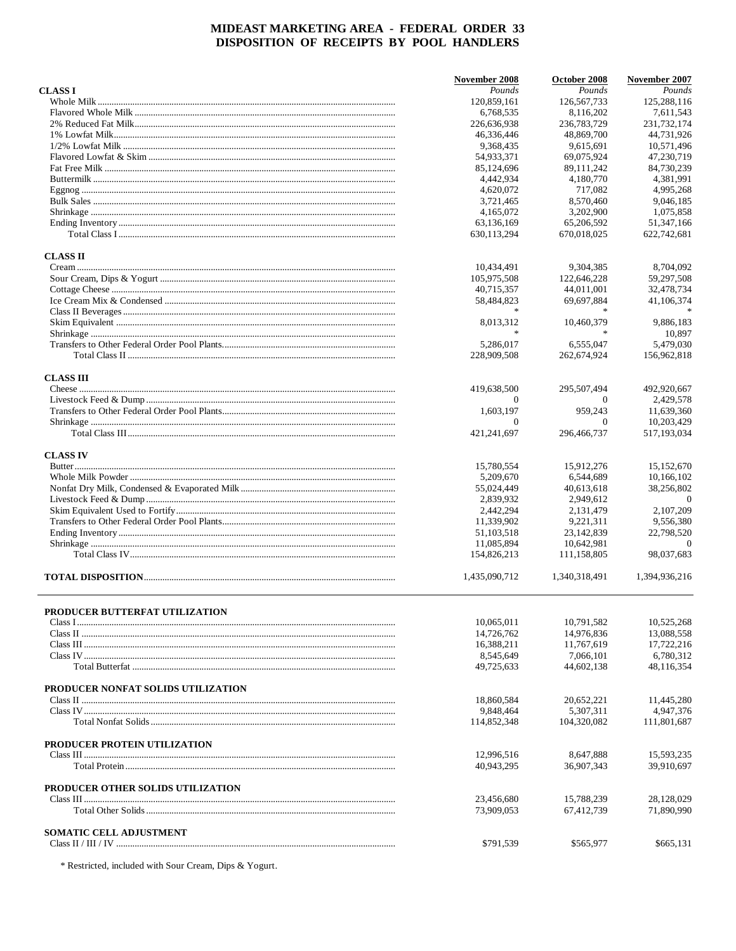|                                    | November 2008    | October 2008            | November 2007             |
|------------------------------------|------------------|-------------------------|---------------------------|
| <b>CLASS I</b>                     | Pounds           | Pounds                  | Pounds                    |
|                                    | 120,859,161      | 126,567,733             | 125,288,116               |
|                                    | 6,768,535        | 8,116,202               | 7,611,543                 |
|                                    | 226,636,938      | 236,783,729             | 231,732,174               |
|                                    | 46,336,446       | 48.869.700              | 44,731,926                |
|                                    | 9,368,435        | 9,615,691               | 10,571,496                |
|                                    | 54,933,371       | 69,075,924              | 47,230,719                |
|                                    | 85,124,696       | 89,111,242              | 84,730,239                |
|                                    | 4,442,934        | 4,180,770               | 4,381,991                 |
|                                    | 4.620.072        | 717,082                 | 4,995,268                 |
|                                    | 3,721,465        | 8,570,460               | 9,046,185                 |
|                                    | 4,165,072        | 3,202,900               | 1,075,858                 |
|                                    | 63,136,169       | 65,206,592              | 51,347,166                |
|                                    | 630,113,294      | 670,018,025             | 622,742,681               |
| <b>CLASS II</b>                    |                  |                         |                           |
|                                    | 10,434,491       | 9,304,385               | 8,704,092                 |
|                                    | 105,975,508      | 122,646,228             | 59,297,508                |
|                                    | 40,715,357       | 44,011,001              | 32,478,734                |
|                                    | 58,484,823       | 69,697,884              | 41,106,374                |
|                                    |                  |                         |                           |
|                                    | 8,013,312        | 10.460.379              | 9,886,183                 |
|                                    | $\frac{1}{2}$    | $\frac{1}{2}$           | 10,897                    |
|                                    | 5,286,017        | 6.555.047               | 5,479,030                 |
|                                    | 228,909,508      | 262,674,924             | 156,962,818               |
|                                    |                  |                         |                           |
| <b>CLASS III</b>                   | 419,638,500      | 295,507,494             | 492,920,667               |
|                                    | $\mathbf{0}$     | $\theta$                | 2,429,578                 |
|                                    |                  |                         |                           |
|                                    | 1,603,197        | 959,243                 | 11,639,360                |
|                                    | 0<br>421,241,697 | $\theta$<br>296,466,737 | 10,203,429<br>517,193,034 |
|                                    |                  |                         |                           |
| <b>CLASS IV</b>                    |                  |                         |                           |
|                                    | 15,780,554       | 15,912,276              | 15,152,670                |
|                                    | 5,209,670        | 6,544,689               | 10,166,102                |
|                                    | 55,024,449       | 40,613,618              | 38,256,802                |
|                                    | 2,839,932        | 2,949,612               | $\overline{0}$            |
|                                    | 2,442,294        | 2,131,479               | 2,107,209                 |
|                                    | 11,339,902       | 9,221,311               | 9,556,380                 |
|                                    | 51,103,518       | 23,142,839              | 22,798,520                |
|                                    | 11.085.894       | 10,642,981              | $\Omega$                  |
|                                    | 154,826,213      | 111,158,805             | 98,037,683                |
|                                    | 1,435,090,712    | 1,340,318,491           | 1,394,936,216             |
|                                    |                  |                         |                           |
| PRODUCER BUTTERFAT UTILIZATION     | 10,065,011       | 10,791,582              | 10,525,268                |
|                                    | 14,726,762       | 14,976,836              | 13,088,558                |
|                                    | 16,388,211       | 11,767,619              | 17,722,216                |
|                                    | 8,545,649        | 7,066,101               | 6,780,312                 |
|                                    | 49,725,633       | 44,602,138              | 48,116,354                |
|                                    |                  |                         |                           |
| PRODUCER NONFAT SOLIDS UTILIZATION |                  |                         |                           |
|                                    | 18,860,584       | 20,652,221              | 11,445,280                |
|                                    | 9,848,464        | 5,307,311               | 4,947,376                 |
|                                    | 114,852,348      | 104,320,082             | 111,801,687               |
| PRODUCER PROTEIN UTILIZATION       |                  |                         |                           |
|                                    | 12,996,516       | 8,647,888               | 15,593,235                |
|                                    | 40,943,295       | 36,907,343              | 39,910,697                |
| PRODUCER OTHER SOLIDS UTILIZATION  |                  |                         |                           |
|                                    | 23,456,680       | 15,788,239              | 28,128,029                |
|                                    | 73,909,053       | 67,412,739              | 71,890,990                |
|                                    |                  |                         |                           |
| SOMATIC CELL ADJUSTMENT            | \$791,539        | \$565,977               | \$665,131                 |
|                                    |                  |                         |                           |